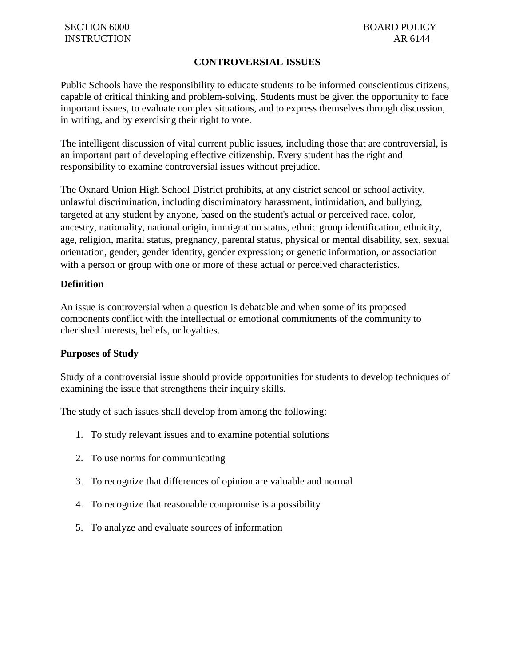## **CONTROVERSIAL ISSUES**

Public Schools have the responsibility to educate students to be informed conscientious citizens, capable of critical thinking and problem-solving. Students must be given the opportunity to face important issues, to evaluate complex situations, and to express themselves through discussion, in writing, and by exercising their right to vote.

The intelligent discussion of vital current public issues, including those that are controversial, is an important part of developing effective citizenship. Every student has the right and responsibility to examine controversial issues without prejudice.

The Oxnard Union High School District prohibits, at any district school or school activity, unlawful discrimination, including discriminatory harassment, intimidation, and bullying, targeted at any student by anyone, based on the student's actual or perceived race, color, ancestry, nationality, national origin, immigration status, ethnic group identification, ethnicity, age, religion, marital status, pregnancy, parental status, physical or mental disability, sex, sexual orientation, gender, gender identity, gender expression; or genetic information, or association with a person or group with one or more of these actual or perceived characteristics.

#### **Definition**

An issue is controversial when a question is debatable and when some of its proposed components conflict with the intellectual or emotional commitments of the community to cherished interests, beliefs, or loyalties.

#### **Purposes of Study**

Study of a controversial issue should provide opportunities for students to develop techniques of examining the issue that strengthens their inquiry skills.

The study of such issues shall develop from among the following:

- 1. To study relevant issues and to examine potential solutions
- 2. To use norms for communicating
- 3. To recognize that differences of opinion are valuable and normal
- 4. To recognize that reasonable compromise is a possibility
- 5. To analyze and evaluate sources of information